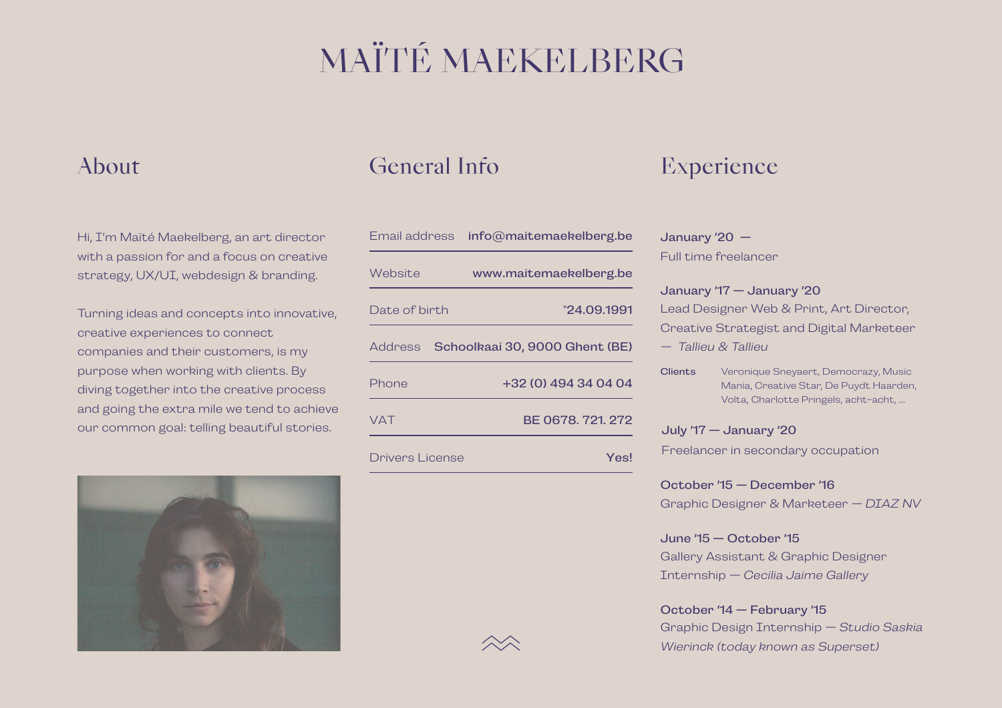# MAÏTÉ MAEKELBERG

Hi, I'm Maïté Maekelberg, an art director with a passion for and a focus on creative strategy, UX/UI, webdesign & branding.

Turning ideas and concepts into innovative, creative experiences to connect companies and their customers, is my purpose when working with clients. By diving together into the creative process and going the extra mile we tend to achieve our common goal: telling beautiful stories.



### About General Info

| Email address   | info@maitemaekelberg.be        |
|-----------------|--------------------------------|
| <i>Website</i>  | www.maitemaekelberg.be         |
| Date of birth   | °24.09.1991                    |
| Address         | Schoolkaai 30, 9000 Ghent (BE) |
| Phone           | +32 (0) 494 34 04 04           |
| <b>VAT</b>      | BE 0678, 721, 272              |
| Drivers License | Yesl                           |

## Experience

### January '20 —

Full time freelancer

Lead Designer Web & Print, Art Director, Creative Strategist and Digital Marketeer *— Tallieu & Tallieu* January '17 — January '20

Veronique Sneyaert, Democrazy, Music Mania, Creative Star, De Puydt Haarden, Volta, Charlotte Pringels, acht-acht, … **Clients** 

Freelancer in secondary occupation July '17 — January '20

Graphic Designer & Marketeer *— DIAZ NV* October '15 — December '16

Gallery Assistant & Graphic Designer Internship *— Cecilia Jaime Gallery* June '15 — October '15

### Graphic Design Internship *— Studio Saskia Wierinck (today known as Superset)* October '14 — February '15